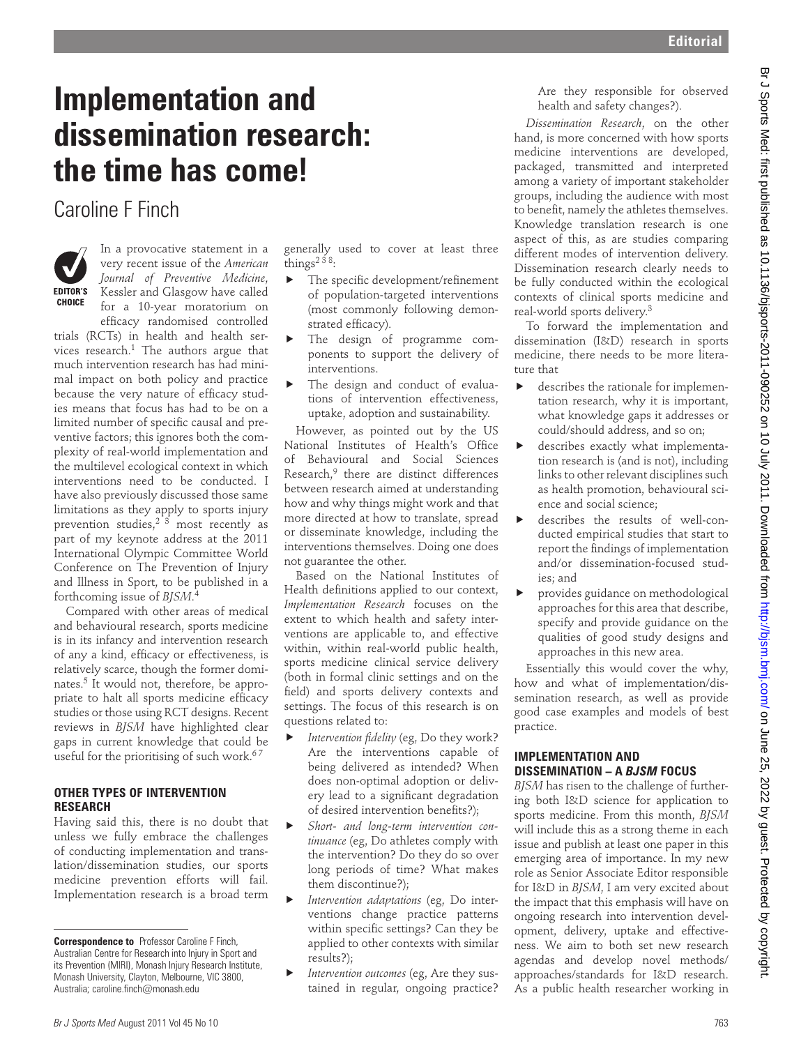# **Implementation and dissemination research: the time has come!**

## Caroline F Finch



In a provocative statement in a very recent issue of the *American Journal of Preventive Medicine*, Kessler and Glasgow have called for a 10-year moratorium on efficacy randomised controlled

trials (RCTs) in health and health services research. $1$  The authors argue that much intervention research has had minimal impact on both policy and practice because the very nature of efficacy studies means that focus has had to be on a limited number of specific causal and preventive factors; this ignores both the complexity of real-world implementation and the multilevel ecological context in which interventions need to be conducted. I have also previously discussed those same limitations as they apply to sports injury prevention studies,<sup>23</sup> most recently as part of my keynote address at the 2011 International Olympic Committee World Conference on The Prevention of Injury and Illness in Sport, to be published in a forthcoming issue of *BJSM*. 4 **consequentiation and consequent in the consequent by component in the consequent of a state of the consequent of a state of the consequent of a state of the consequent of a state of the consequent of a state of the conse** 

Compared with other areas of medical and behavioural research, sports medicine is in its infancy and intervention research of any a kind, efficacy or effectiveness, is relatively scarce, though the former dominates.5 It would not, therefore, be appropriate to halt all sports medicine efficacy studies or those using RCT designs. Recent reviews in *BJSM* have highlighted clear gaps in current knowledge that could be useful for the prioritising of such work.<sup>67</sup>

#### **OTHER TYPES OF INTERVENTION RESEARCH**

Having said this, there is no doubt that unless we fully embrace the challenges of conducting implementation and translation/dissemination studies, our sports medicine prevention efforts will fail. Implementation research is a broad term generally used to cover at least three things<sup>238</sup>:

- The specific development/refinement of population-targeted interventions (most commonly following demonstrated efficacy).
- The design of programme components to support the delivery of interventions.
- The design and conduct of evaluations of intervention effectiveness, uptake, adoption and sustainability.

However, as pointed out by the US National Institutes of Health's Office of Behavioural and Social Sciences Research,<sup>9</sup> there are distinct differences between research aimed at understanding how and why things might work and that more directed at how to translate, spread or disseminate knowledge, including the interventions themselves. Doing one does not guarantee the other.

Based on the National Institutes of Health definitions applied to our context, *Implementation Research* focuses on the extent to which health and safety interventions are applicable to, and effective within, within real-world public health, sports medicine clinical service delivery (both in formal clinic settings and on the field) and sports delivery contexts and settings. The focus of this research is on questions related to:

- Intervention fidelity (eg, Do they work? Are the interventions capable of being delivered as intended? When does non-optimal adoption or delivery lead to a significant degradation of desired intervention benefits?);
- ! *Short- and long-term intervention continuance* (eg, Do athletes comply with the intervention? Do they do so over long periods of time? What makes them discontinue?);
- ! *Intervention adaptations* (eg, Do interventions change practice patterns within specific settings? Can they be applied to other contexts with similar results?);
- ! *Intervention outcomes* (eg, Are they sustained in regular, ongoing practice?

Are they responsible for observed health and safety changes?).

*Dissemination Research*, on the other hand, is more concerned with how sports medicine interventions are developed, packaged, transmitted and interpreted among a variety of important stakeholder groups, including the audience with most to benefit, namely the athletes themselves. Knowledge translation research is one aspect of this, as are studies comparing different modes of intervention delivery. Dissemination research clearly needs to be fully conducted within the ecological contexts of clinical sports medicine and real-world sports delivery.3

To forward the implementation and dissemination (I&D) research in sports medicine, there needs to be more literature that

- $\blacktriangleright$  describes the rationale for implementation research, why it is important, what knowledge gaps it addresses or could/should address, and so on;
- $\blacktriangleright$  describes exactly what implementation research is (and is not), including links to other relevant disciplines such as health promotion, behavioural science and social science;
- $\blacktriangleright$  describes the results of well-conducted empirical studies that start to report the findings of implementation and/or dissemination-focused studies; and
- ! provides guidance on methodological approaches for this area that describe, specify and provide guidance on the qualities of good study designs and approaches in this new area.

Essentially this would cover the why, how and what of implementation/dissemination research, as well as provide good case examples and models of best practice.

#### **IMPLEMENTATION AND DISSEMINATION – A** *BJSM* **FOCUS**

*BJSM* has risen to the challenge of furthering both I&D science for application to sports medicine. From this month, *BJSM* will include this as a strong theme in each issue and publish at least one paper in this emerging area of importance. In my new role as Senior Associate Editor responsible for I&D in *BJSM*, I am very excited about the impact that this emphasis will have on ongoing research into intervention development, delivery, uptake and effectiveness. We aim to both set new research agendas and develop novel methods/ approaches/standards for I&D research. As a public health researcher working in

**Correspondence to** Professor Caroline F Finch, Australian Centre for Research into Injury in Sport and its Prevention (MIRI), Monash Injury Research Institute, Monash University, Clayton, Melbourne, VIC 3800, Australia; caroline.finch@monash.edu